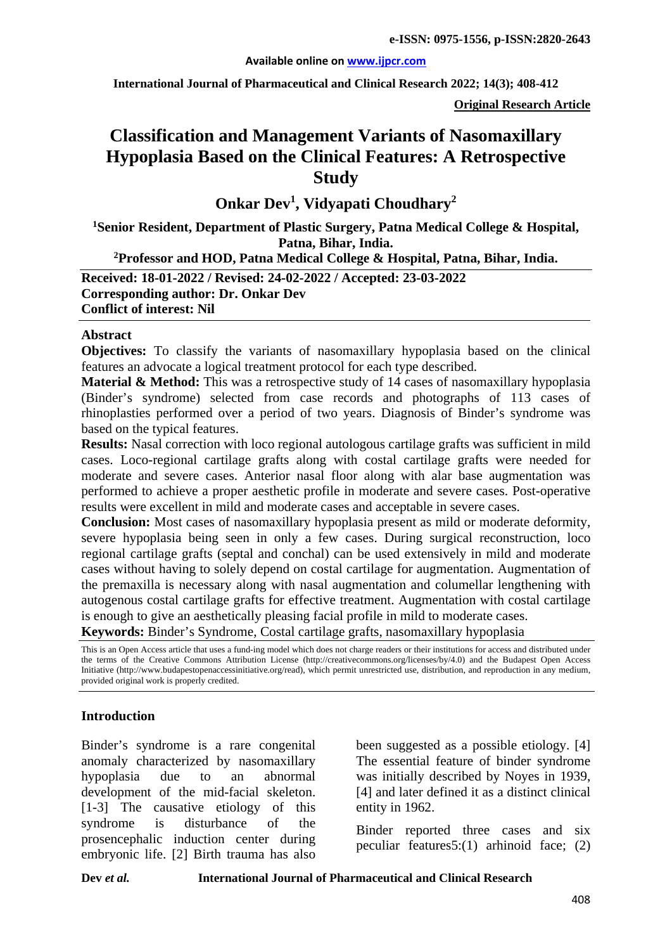#### **Available online on [www.ijpcr.com](http://www.ijpcr.com/)**

**International Journal of Pharmaceutical and Clinical Research 2022; 14(3); 408-412**

**Original Research Article**

# **Classification and Management Variants of Nasomaxillary Hypoplasia Based on the Clinical Features: A Retrospective Study**

**Onkar Dev<sup>1</sup> , Vidyapati Choudhary2**

**1 Senior Resident, Department of Plastic Surgery, Patna Medical College & Hospital, Patna, Bihar, India.**

**2Professor and HOD, Patna Medical College & Hospital, Patna, Bihar, India.**

**Received: 18-01-2022 / Revised: 24-02-2022 / Accepted: 23-03-2022**

**Corresponding author: Dr. Onkar Dev Conflict of interest: Nil**

#### **Abstract**

**Objectives:** To classify the variants of nasomaxillary hypoplasia based on the clinical features an advocate a logical treatment protocol for each type described.

**Material & Method:** This was a retrospective study of 14 cases of nasomaxillary hypoplasia (Binder's syndrome) selected from case records and photographs of 113 cases of rhinoplasties performed over a period of two years. Diagnosis of Binder's syndrome was based on the typical features.

**Results:** Nasal correction with loco regional autologous cartilage grafts was sufficient in mild cases. Loco-regional cartilage grafts along with costal cartilage grafts were needed for moderate and severe cases. Anterior nasal floor along with alar base augmentation was performed to achieve a proper aesthetic profile in moderate and severe cases. Post-operative results were excellent in mild and moderate cases and acceptable in severe cases.

**Conclusion:** Most cases of nasomaxillary hypoplasia present as mild or moderate deformity, severe hypoplasia being seen in only a few cases. During surgical reconstruction, loco regional cartilage grafts (septal and conchal) can be used extensively in mild and moderate cases without having to solely depend on costal cartilage for augmentation. Augmentation of the premaxilla is necessary along with nasal augmentation and columellar lengthening with autogenous costal cartilage grafts for effective treatment. Augmentation with costal cartilage is enough to give an aesthetically pleasing facial profile in mild to moderate cases.

**Keywords:** Binder's Syndrome, Costal cartilage grafts, nasomaxillary hypoplasia

This is an Open Access article that uses a fund-ing model which does not charge readers or their institutions for access and distributed under the terms of the Creative Commons Attribution License (http://creativecommons.org/licenses/by/4.0) and the Budapest Open Access Initiative (http://www.budapestopenaccessinitiative.org/read), which permit unrestricted use, distribution, and reproduction in any medium, provided original work is properly credited.

## **Introduction**

Binder's syndrome is a rare congenital anomaly characterized by nasomaxillary hypoplasia due to an abnormal development of the mid-facial skeleton. [1-3] The causative etiology of this syndrome is disturbance of the prosencephalic induction center during embryonic life. [2] Birth trauma has also been suggested as a possible etiology. [4] The essential feature of binder syndrome was initially described by Noyes in 1939, [4] and later defined it as a distinct clinical entity in 1962.

Binder reported three cases and six peculiar features5:(1) arhinoid face; (2)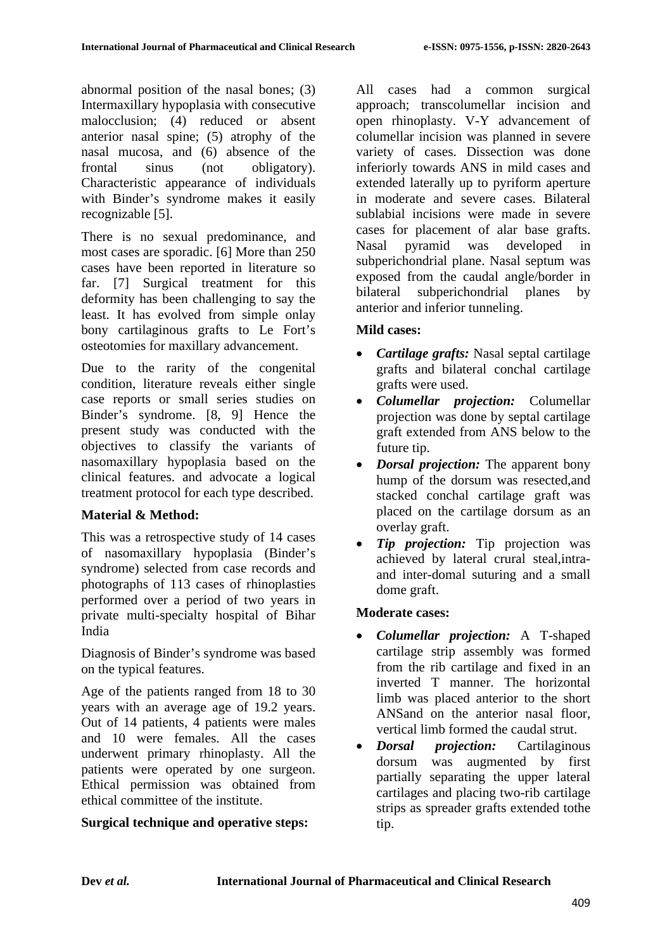abnormal position of the nasal bones; (3) Intermaxillary hypoplasia with consecutive malocclusion; (4) reduced or absent anterior nasal spine; (5) atrophy of the nasal mucosa, and (6) absence of the frontal sinus (not obligatory). Characteristic appearance of individuals with Binder's syndrome makes it easily recognizable [5].

There is no sexual predominance, and most cases are sporadic. [6] More than 250 cases have been reported in literature so far. [7] Surgical treatment for this deformity has been challenging to say the least. It has evolved from simple onlay bony cartilaginous grafts to Le Fort's osteotomies for maxillary advancement.

Due to the rarity of the congenital condition, literature reveals either single case reports or small series studies on Binder's syndrome. [8, 9] Hence the present study was conducted with the objectives to classify the variants of nasomaxillary hypoplasia based on the clinical features. and advocate a logical treatment protocol for each type described.

# **Material & Method:**

This was a retrospective study of 14 cases of nasomaxillary hypoplasia (Binder's syndrome) selected from case records and photographs of 113 cases of rhinoplasties performed over a period of two years in private multi-specialty hospital of Bihar India

Diagnosis of Binder's syndrome was based on the typical features.

Age of the patients ranged from 18 to 30 years with an average age of 19.2 years. Out of 14 patients, 4 patients were males and 10 were females. All the cases underwent primary rhinoplasty. All the patients were operated by one surgeon. Ethical permission was obtained from ethical committee of the institute.

# **Surgical technique and operative steps:**

All cases had a common surgical approach; transcolumellar incision and open rhinoplasty. V-Y advancement of columellar incision was planned in severe variety of cases. Dissection was done inferiorly towards ANS in mild cases and extended laterally up to pyriform aperture in moderate and severe cases. Bilateral sublabial incisions were made in severe cases for placement of alar base grafts. Nasal pyramid was developed in subperichondrial plane. Nasal septum was exposed from the caudal angle/border in bilateral subperichondrial planes by anterior and inferior tunneling.

## **Mild cases:**

- *Cartilage grafts:* Nasal septal cartilage grafts and bilateral conchal cartilage grafts were used.
- *Columellar projection:* Columellar projection was done by septal cartilage graft extended from ANS below to the future tip.
- *Dorsal projection:* The apparent bony hump of the dorsum was resected,and stacked conchal cartilage graft was placed on the cartilage dorsum as an overlay graft.
- *Tip projection:* Tip projection was achieved by lateral crural steal,intraand inter-domal suturing and a small dome graft.

## **Moderate cases:**

- *Columellar projection:* A T-shaped cartilage strip assembly was formed from the rib cartilage and fixed in an inverted T manner. The horizontal limb was placed anterior to the short ANSand on the anterior nasal floor, vertical limb formed the caudal strut.
- *Dorsal projection:* Cartilaginous dorsum was augmented by first partially separating the upper lateral cartilages and placing two-rib cartilage strips as spreader grafts extended tothe tip.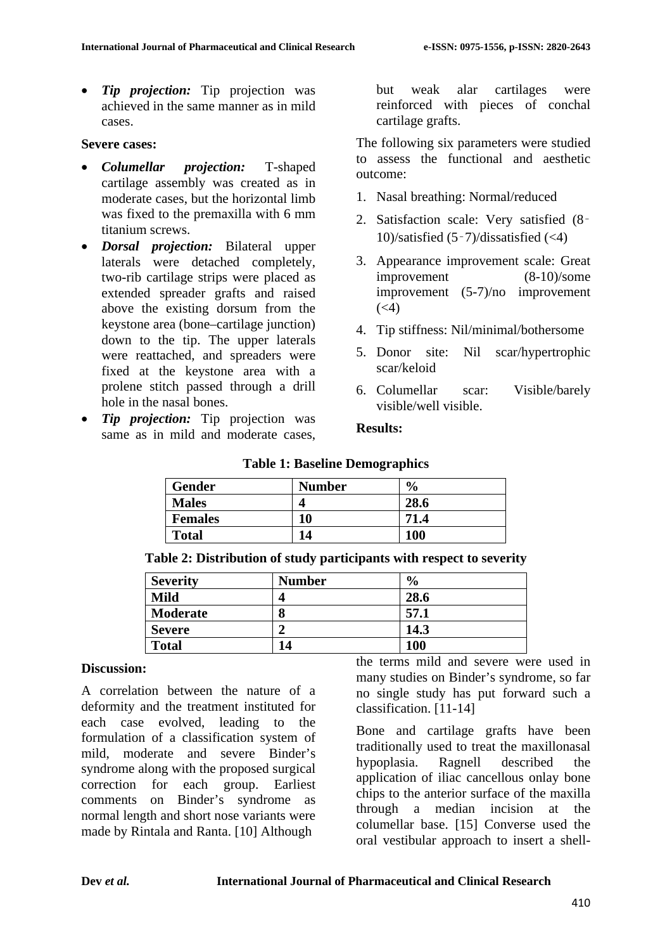• *Tip projection:* Tip projection was achieved in the same manner as in mild cases.

#### **Severe cases:**

- *Columellar projection:* T-shaped cartilage assembly was created as in moderate cases, but the horizontal limb was fixed to the premaxilla with 6 mm titanium screws.
- *Dorsal projection:* Bilateral upper laterals were detached completely, two-rib cartilage strips were placed as extended spreader grafts and raised above the existing dorsum from the keystone area (bone–cartilage junction) down to the tip. The upper laterals were reattached, and spreaders were fixed at the keystone area with a prolene stitch passed through a drill hole in the nasal bones.
- *Tip projection:* Tip projection was same as in mild and moderate cases,

but weak alar cartilages were reinforced with pieces of conchal cartilage grafts.

The following six parameters were studied to assess the functional and aesthetic outcome:

- 1. Nasal breathing: Normal/reduced
- 2. Satisfaction scale: Very satisfied (8‑ 10)/satisfied (5‑7)/dissatisfied (<4)
- 3. Appearance improvement scale: Great improvement (8-10)/some improvement (5-7)/no improvement  $(<4)$
- 4. Tip stiffness: Nil/minimal/bothersome
- 5. Donor site: Nil scar/hypertrophic scar/keloid
- 6. Columellar scar: Visible/barely visible/well visible.

#### **Results:**

| Gender         | <b>Number</b> | $\frac{6}{9}$ |
|----------------|---------------|---------------|
| <b>Males</b>   |               | 28.6          |
| <b>Females</b> | 10            | 71.4          |
| <b>Total</b>   | 14            | 100           |

### **Table 1: Baseline Demographics**

| Table 2: Distribution of study participants with respect to severity |  |  |  |
|----------------------------------------------------------------------|--|--|--|
|                                                                      |  |  |  |

| <b>Severity</b> | <b>Number</b> | $\frac{6}{9}$ |
|-----------------|---------------|---------------|
| <b>Mild</b>     |               | 28.6          |
| <b>Moderate</b> |               | 57.1          |
| <b>Severe</b>   |               | 14.3          |
| <b>Total</b>    | 14            | <b>100</b>    |

#### **Discussion:**

A correlation between the nature of a deformity and the treatment instituted for each case evolved, leading to the formulation of a classification system of mild, moderate and severe Binder's syndrome along with the proposed surgical correction for each group. Earliest comments on Binder's syndrome as normal length and short nose variants were made by Rintala and Ranta. [10] Although

the terms mild and severe were used in many studies on Binder's syndrome, so far no single study has put forward such a classification. [11-14]

Bone and cartilage grafts have been traditionally used to treat the maxillonasal hypoplasia. Ragnell described the application of iliac cancellous onlay bone chips to the anterior surface of the maxilla through a median incision at the columellar base. [15] Converse used the oral vestibular approach to insert a shell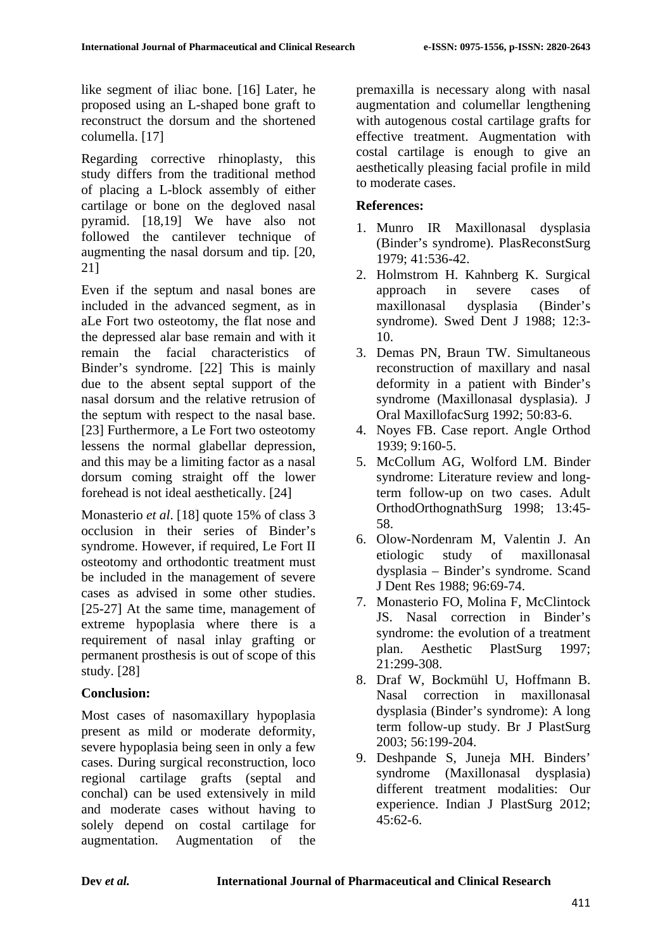like segment of iliac bone. [16] Later, he proposed using an L-shaped bone graft to reconstruct the dorsum and the shortened columella. [17]

Regarding corrective rhinoplasty, this study differs from the traditional method of placing a L-block assembly of either cartilage or bone on the degloved nasal pyramid. [18,19] We have also not followed the cantilever technique of augmenting the nasal dorsum and tip. [20, 21]

Even if the septum and nasal bones are included in the advanced segment, as in aLe Fort two osteotomy, the flat nose and the depressed alar base remain and with it remain the facial characteristics of Binder's syndrome. [22] This is mainly due to the absent septal support of the nasal dorsum and the relative retrusion of the septum with respect to the nasal base. [23] Furthermore, a Le Fort two osteotomy lessens the normal glabellar depression, and this may be a limiting factor as a nasal dorsum coming straight off the lower forehead is not ideal aesthetically. [24]

Monasterio *et al*. [18] quote 15% of class 3 occlusion in their series of Binder's syndrome. However, if required, Le Fort II osteotomy and orthodontic treatment must be included in the management of severe cases as advised in some other studies. [25-27] At the same time, management of extreme hypoplasia where there is a requirement of nasal inlay grafting or permanent prosthesis is out of scope of this study. [28]

## **Conclusion:**

Most cases of nasomaxillary hypoplasia present as mild or moderate deformity, severe hypoplasia being seen in only a few cases. During surgical reconstruction, loco regional cartilage grafts (septal and conchal) can be used extensively in mild and moderate cases without having to solely depend on costal cartilage for augmentation. Augmentation of the

premaxilla is necessary along with nasal augmentation and columellar lengthening with autogenous costal cartilage grafts for effective treatment. Augmentation with costal cartilage is enough to give an aesthetically pleasing facial profile in mild to moderate cases.

## **References:**

- 1. Munro IR Maxillonasal dysplasia (Binder's syndrome). PlasReconstSurg 1979; 41:536-42.
- 2. Holmstrom H. Kahnberg K. Surgical approach in severe cases of maxillonasal dysplasia (Binder's syndrome). Swed Dent J 1988; 12:3- 10.
- 3. Demas PN, Braun TW. Simultaneous reconstruction of maxillary and nasal deformity in a patient with Binder's syndrome (Maxillonasal dysplasia). J Oral MaxillofacSurg 1992; 50:83-6.
- 4. Noyes FB. Case report. Angle Orthod 1939; 9:160-5.
- 5. McCollum AG, Wolford LM. Binder syndrome: Literature review and longterm follow-up on two cases. Adult OrthodOrthognathSurg 1998; 13:45- 58.
- 6. Olow-Nordenram M, Valentin J. An etiologic study of maxillonasal dysplasia – Binder's syndrome. Scand J Dent Res 1988; 96:69-74.
- 7. Monasterio FO, Molina F, McClintock JS. Nasal correction in Binder's syndrome: the evolution of a treatment plan. Aesthetic PlastSurg 1997; 21:299-308.
- 8. Draf W, Bockmühl U, Hoffmann B. Nasal correction in maxillonasal dysplasia (Binder's syndrome): A long term follow-up study. Br J PlastSurg 2003; 56:199-204.
- 9. Deshpande S, Juneja MH. Binders' syndrome (Maxillonasal dysplasia) different treatment modalities: Our experience. Indian J PlastSurg 2012; 45:62-6.